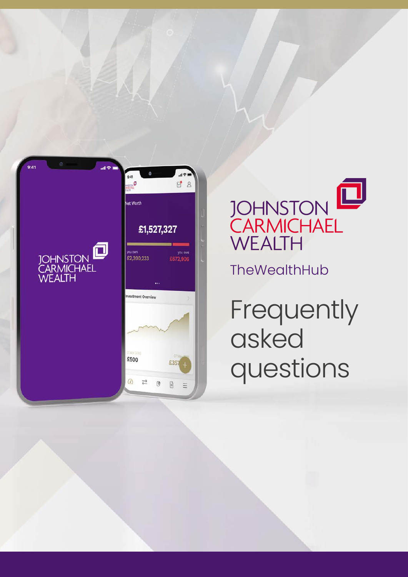



Frequently asked questions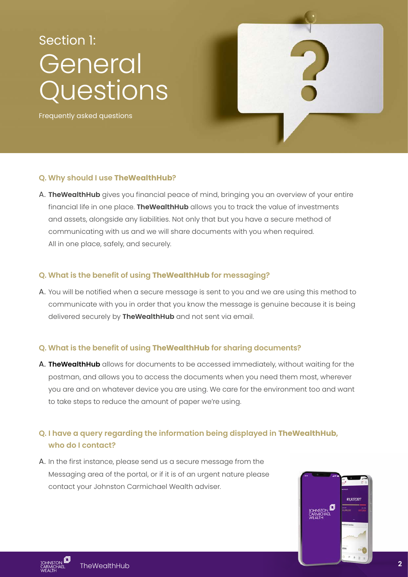### General Questions Section 1:

Frequently asked questions



### **Q. Why should I use TheWealthHub?**

A. **TheWealthHub** gives you financial peace of mind, bringing you an overview of your entire financial life in one place. **TheWealthHub** allows you to track the value of investments and assets, alongside any liabilities. Not only that but you have a secure method of communicating with us and we will share documents with you when required. All in one place, safely, and securely.

### **Q. What is the benefit of using TheWealthHub for messaging?**

A. You will be notified when a secure message is sent to you and we are using this method to communicate with you in order that you know the message is genuine because it is being delivered securely by **TheWealthHub** and not sent via email.

### **Q. What is the benefit of using TheWealthHub for sharing documents?**

A. **TheWealthHub** allows for documents to be accessed immediately, without waiting for the postman, and allows you to access the documents when you need them most, wherever you are and on whatever device you are using. We care for the environment too and want to take steps to reduce the amount of paper we're using.

### **Q. I have a query regarding the information being displayed in TheWealthHub, who do I contact?**

A. In the first instance, please send us a secure message from the Messaging area of the portal, or if it is of an urgent nature please contact your Johnston Carmichael Wealth adviser.

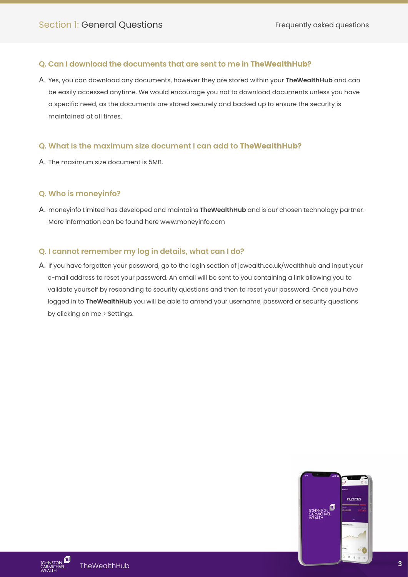### **Q. Can I download the documents that are sent to me in TheWealthHub?**

A. Yes, you can download any documents, however they are stored within your **TheWealthHub** and can be easily accessed anytime. We would encourage you not to download documents unless you have a specific need, as the documents are stored securely and backed up to ensure the security is maintained at all times.

### **Q. What is the maximum size document I can add to TheWealthHub?**

A. The maximum size document is 5MB.

### **Q. Who is moneyinfo?**

A. moneyinfo Limited has developed and maintains **TheWealthHub** and is our chosen technology partner. More information can be found her[e www.moneyinfo.com](https://www.moneyinfo.com)

### **Q. I cannot remember my log in details, what can I do?**

A. If you have forgotten your password, go to the login secti[on of jcwealth.co.uk/wealthhub and input your](https://johnstoncarmichael.moneyinfo.co.uk/)  e-mail address to reset your password. An email will be sent to you containing a link allowing you to validate yourself by responding to security questions and then to reset your password. Once you have logged in to **TheWealthHub** you will be able to amend your username, password or security questions by clicking on me > Settings.

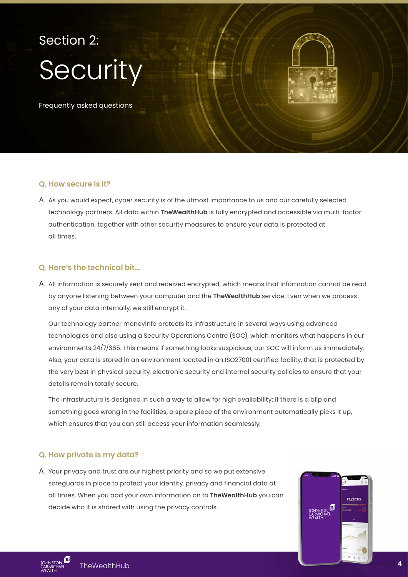# Security Section 2:

Frequently asked questions

### **Q. How secure is it?**

A. As you would expect, cyber security is of the utmost importance to us and our carefully selected technology partners. All data within **TheWealthHub** is fully encrypted and accessible via multi-factor authentication, together with other security measures to ensure your data is protected at all times.

### **Q. Here's the technical bit…**

A. All information is securely sent and received encrypted, which means that information cannot be read by anyone listening between your computer and the **TheWealthHub** service. Even when we process any of your data internally, we still encrypt it.

 Our technology partner moneyinfo protects its infrastructure in several ways using advanced technologies and also using a Security Operations Centre (SOC), which monitors what happens in our environments 24/7/365. This means if something looks suspicious, our SOC will inform us immediately. Also, your data is stored in an environment located in an ISO27001 certified facility, that is protected by the very best in physical security, electronic security and internal security policies to ensure that your details remain totally secure.

 The infrastructure is designed in such a way to allow for high availability; if there is a blip and something goes wrong in the facilities, a spare piece of the environment automatically picks it up, which ensures that you can still access your information seamlessly.

### **Q. How private is my data?**

A. Your privacy and trust are our highest priority and so we put extensive safeguards in place to protect your identity, privacy and financial data at all times. When you add your own information on to **TheWealthHub** you can decide who it is shared with using the privacy controls.

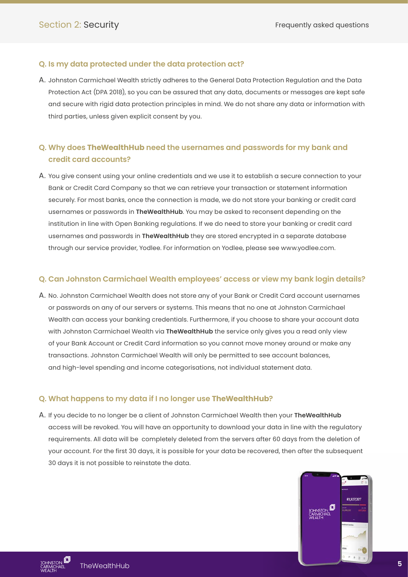### **Q. Is my data protected under the data protection act?**

A. Johnston Carmichael Wealth strictly adheres to the General Data Protection Regulation and the Data Protection Act (DPA 2018), so you can be assured that any data, documents or messages are kept safe and secure with rigid data protection principles in mind. We do not share any data or information with third parties, unless given explicit consent by you.

### **Q. Why does TheWealthHub need the usernames and passwords for my bank and credit card accounts?**

A. You give consent using your online credentials and we use it to establish a secure connection to your Bank or Credit Card Company so that we can retrieve your transaction or statement information securely. For most banks, once the connection is made, we do not store your banking or credit card usernames or passwords in **TheWealthHub**. You may be asked to reconsent depending on the institution in line with Open Banking regulations. If we do need to store your banking or credit card usernames and passwords in **TheWealthHub** they are stored encrypted in a separate database through our service provider, Yodlee. For information on Yodlee, pleas[e see www.yodlee.com.](http://www.yodlee.com)

### **Q. Can Johnston Carmichael Wealth employees' access or view my bank login details?**

A. No. Johnston Carmichael Wealth does not store any of your Bank or Credit Card account usernames or passwords on any of our servers or systems. This means that no one at Johnston Carmichael Wealth can access your banking credentials. Furthermore, if you choose to share your account data with Johnston Carmichael Wealth via **TheWealthHub** the service only gives you a read only view of your Bank Account or Credit Card information so you cannot move money around or make any transactions. Johnston Carmichael Wealth will only be permitted to see account balances, and high-level spending and income categorisations, not individual statement data.

### **Q. What happens to my data if I no longer use TheWealthHub?**

A. If you decide to no longer be a client of Johnston Carmichael Wealth then your **TheWealthHub** access will be revoked. You will have an opportunity to download your data in line with the regulatory requirements. All data will be completely deleted from the servers after 60 days from the deletion of your account. For the first 30 days, it is possible for your data be recovered, then after the subsequent 30 days it is not possible to reinstate the data.

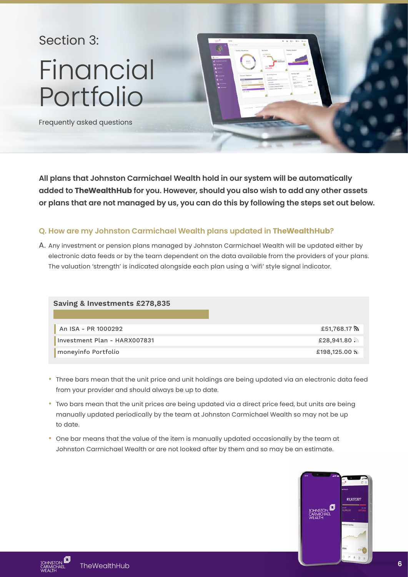### Section 3:

## Financial Portfolio



Frequently asked questions

**All plans that Johnston Carmichael Wealth hold in our system will be automatically added to TheWealthHub for you. However, should you also wish to add any other assets or plans that are not managed by us, you can do this by following the steps set out below.** 

### **Q. How are my Johnston Carmichael Wealth plans updated in TheWealthHub?**

A. Any investment or pension plans managed by Johnston Carmichael Wealth will be updated either by electronic data feeds or by the team dependent on the data available from the providers of your plans. The valuation 'strength' is indicated alongside each plan using a 'wifi' style signal indicator.

| Saving & Investments £278,835 |                         |
|-------------------------------|-------------------------|
| An ISA - PR 1000292           | £51,768.17 <b>እ</b>     |
| Investment Plan - HARX007831  | $£28,941.80$ and        |
| moneyinfo Portfolio           | $£198,125.00$ $\lambda$ |

- Three bars mean that the unit price and unit holdings are being updated via an electronic data feed from your provider and should always be up to date.
- Two bars mean that the unit prices are being updated via a direct price feed, but units are being manually updated periodically by the team at Johnston Carmichael Wealth so may not be up to date.
- One bar means that the value of the item is manually updated occasionally by the team at Johnston Carmichael Wealth or are not looked after by them and so may be an estimate.



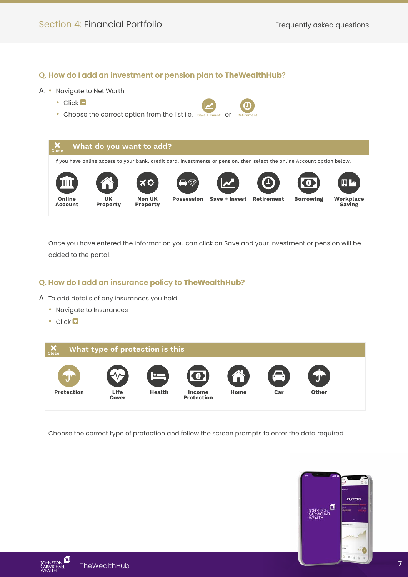### **Q. How do I add an investment or pension plan to TheWealthHub?**

### A. • Navigate to Net Worth

- Click **D**
- Choose the correct option from the list i.e. save



 Once you have entered the information you can click on Save and your investment or pension will be added to the portal.

### **Q. How do I add an insurance policy to TheWealthHub?**

A. To add details of any insurances you hold:

- Navigate to Insurances
- Click **D**



Choose the correct type of protection and follow the screen prompts to enter the data required



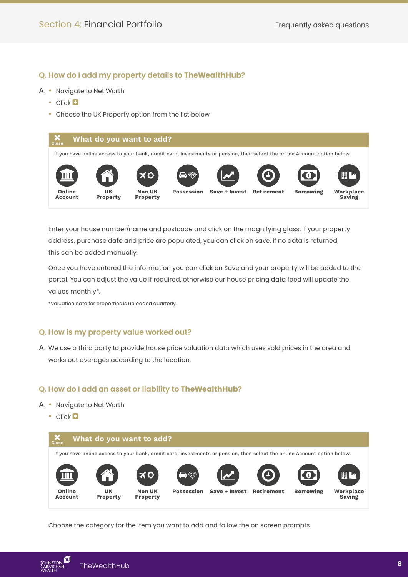### **Q. How do I add my property details to TheWealthHub?**

- A. Navigate to Net Worth
	- Click<sup>1</sup>
	- Choose the UK Property option from the list below



 Enter your house number/name and postcode and click on the magnifying glass, if your property address, purchase date and price are populated, you can click on save, if no data is returned, this can be added manually.

 Once you have entered the information you can click on Save and your property will be added to the portal. You can adjust the value if required, otherwise our house pricing data feed will update the values monthly\*.

\*Valuation data for properties is uploaded quarterly.

### **Q. How is my property value worked out?**

A. We use a third party to provide house price valuation data which uses sold prices in the area and works out averages according to the location.

### **Q. How do I add an asset or liability to TheWealthHub?**

- A. Navigate to Net Worth
	- Click<sup>1</sup>



Choose the category for the item you want to add and follow the on screen prompts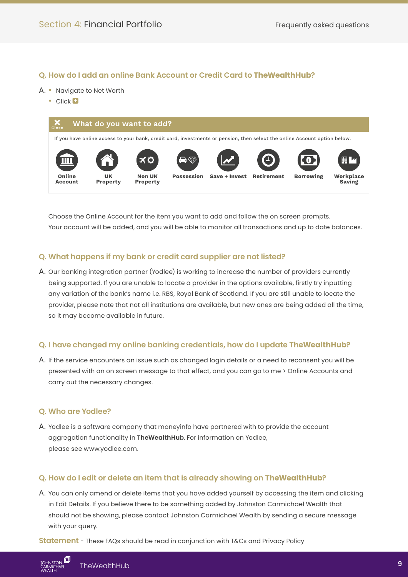### **Q. How do I add an online Bank Account or Credit Card to TheWealthHub?**

#### A. • Navigate to Net Worth

• Click <sup>1</sup>



 Choose the Online Account for the item you want to add and follow the on screen prompts. Your account will be added, and you will be able to monitor all transactions and up to date balances.

### **Q. What happens if my bank or credit card supplier are not listed?**

A. Our banking integration partner (Yodlee) is working to increase the number of providers currently being supported. If you are unable to locate a provider in the options available, firstly try inputting any variation of the bank's name i.e. RBS, Royal Bank of Scotland. If you are still unable to locate the provider, please note that not all institutions are available, but new ones are being added all the time, so it may become available in future.

### **Q. I have changed my online banking credentials, how do I update TheWealthHub?**

A. If the service encounters an issue such as changed login details or a need to reconsent you will be presented with an on screen message to that effect, and you can go to me > Online Accounts and carry out the necessary changes.

### **Q. Who are Yodlee?**

A. Yodlee is a software company that moneyinfo have partnered with to provide the account aggregation functionality in **TheWealthHub**. For information on Yodlee, please se[e www.yodlee.com.](http://www.yodlee.com)

### **Q. How do I edit or delete an item that is already showing on TheWealthHub?**

A. You can only amend or delete items that you have added yourself by accessing the item and clicking in Edit Details. If you believe there to be something added by Johnston Carmichael Wealth that should not be showing, please contact Johnston Carmichael Wealth by sending a secure message with your query.

**Statement** - These FAQs should be read in conjunction with T&Cs and Privacy Policy